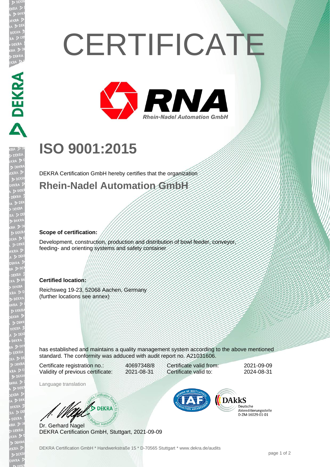# **CERTIFICATE**



## **ISO 9001:2015**

DEKRA Certification GmbH hereby certifies that the organization **Rhein-Nadel Automation GmbH**

#### **Scope of certification:**

Development, construction, production and distribution of bowl feeder, conveyor, feeding- and orienting systems and safety container

#### **Certified location:**

Reichsweg 19-23, 52068 Aachen, Germany (further locations see annex)

has established and maintains a quality management system according to the above mentioned standard. The conformity was adduced with audit report no. A21031606.

Certificate registration no.: 40697348/8 Validity of previous certificate: 2021-08-31

Certificate valid from: 2021-09-09 Certificate valid to: 2024-08-31

Language translation

WAS DEKRA

Dr. Gerhard Nagel DEKRA Certification GmbH, Stuttgart, 2021-09-09



Deutsche Akkreditierungsstelle